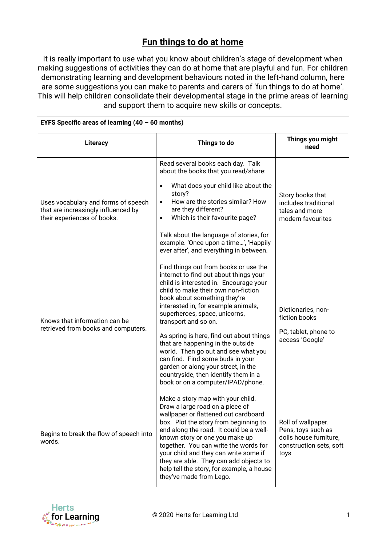## **Fun things to do at home**

It is really important to use what you know about children's stage of development when making suggestions of activities they can do at home that are playful and fun. For children demonstrating learning and development behaviours noted in the left-hand column, here are some suggestions you can make to parents and carers of 'fun things to do at home'. This will help children consolidate their developmental stage in the prime areas of learning and support them to acquire new skills or concepts.

| EYFS Specific areas of learning $(40 - 60$ months)                                                        |                                                                                                                                                                                                                                                                                                                                                                                                                                                                                                                                                                                  |                                                                                                       |  |  |
|-----------------------------------------------------------------------------------------------------------|----------------------------------------------------------------------------------------------------------------------------------------------------------------------------------------------------------------------------------------------------------------------------------------------------------------------------------------------------------------------------------------------------------------------------------------------------------------------------------------------------------------------------------------------------------------------------------|-------------------------------------------------------------------------------------------------------|--|--|
| Literacy                                                                                                  | Things to do                                                                                                                                                                                                                                                                                                                                                                                                                                                                                                                                                                     | Things you might<br>need                                                                              |  |  |
| Uses vocabulary and forms of speech<br>that are increasingly influenced by<br>their experiences of books. | Read several books each day. Talk<br>about the books that you read/share:<br>What does your child like about the<br>$\bullet$<br>story?                                                                                                                                                                                                                                                                                                                                                                                                                                          | Story books that                                                                                      |  |  |
|                                                                                                           | How are the stories similar? How<br>are they different?<br>Which is their favourite page?<br>$\bullet$                                                                                                                                                                                                                                                                                                                                                                                                                                                                           | includes traditional<br>tales and more<br>modern favourites                                           |  |  |
|                                                                                                           | Talk about the language of stories, for<br>example. 'Once upon a time', 'Happily<br>ever after', and everything in between.                                                                                                                                                                                                                                                                                                                                                                                                                                                      |                                                                                                       |  |  |
| Knows that information can be<br>retrieved from books and computers.                                      | Find things out from books or use the<br>internet to find out about things your<br>child is interested in. Encourage your<br>child to make their own non-fiction<br>book about something they're<br>interested in, for example animals,<br>superheroes, space, unicorns,<br>transport and so on.<br>As spring is here, find out about things<br>that are happening in the outside<br>world. Then go out and see what you<br>can find. Find some buds in your<br>garden or along your street, in the<br>countryside, then identify them in a<br>book or on a computer/IPAD/phone. | Dictionaries, non-<br>fiction books<br>PC, tablet, phone to<br>access 'Google'                        |  |  |
| Begins to break the flow of speech into<br>words.                                                         | Make a story map with your child.<br>Draw a large road on a piece of<br>wallpaper or flattened out cardboard<br>box. Plot the story from beginning to<br>end along the road. It could be a well-<br>known story or one you make up<br>together. You can write the words for<br>your child and they can write some if<br>they are able. They can add objects to<br>help tell the story, for example, a house<br>they've made from Lego.                                                                                                                                           | Roll of wallpaper.<br>Pens, toys such as<br>dolls house furniture,<br>construction sets, soft<br>toys |  |  |

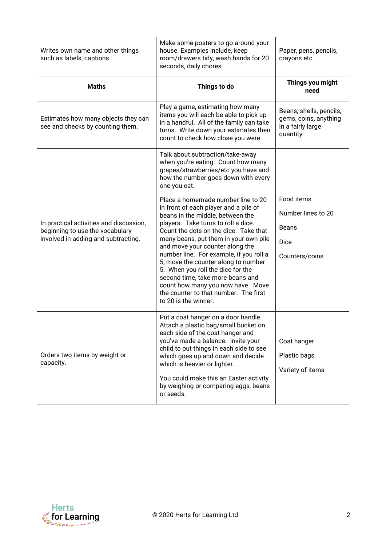| Writes own name and other things<br>such as labels, captions.                                                     | Make some posters to go around your<br>house. Examples include, keep<br>room/drawers tidy, wash hands for 20<br>seconds, daily chores.                                                                                                                                                                                                                                                                                                                                                                                                       | Paper, pens, pencils,<br>crayons etc                                              |
|-------------------------------------------------------------------------------------------------------------------|----------------------------------------------------------------------------------------------------------------------------------------------------------------------------------------------------------------------------------------------------------------------------------------------------------------------------------------------------------------------------------------------------------------------------------------------------------------------------------------------------------------------------------------------|-----------------------------------------------------------------------------------|
| <b>Maths</b>                                                                                                      | Things to do                                                                                                                                                                                                                                                                                                                                                                                                                                                                                                                                 | Things you might<br>need                                                          |
| Estimates how many objects they can<br>see and checks by counting them.                                           | Play a game, estimating how many<br>items you will each be able to pick up<br>in a handful. All of the family can take<br>turns. Write down your estimates then<br>count to check how close you were.                                                                                                                                                                                                                                                                                                                                        | Beans, shells, pencils,<br>gems, coins, anything<br>in a fairly large<br>quantity |
| In practical activities and discussion,<br>beginning to use the vocabulary<br>involved in adding and subtracting. | Talk about subtraction/take-away<br>when you're eating. Count how many<br>grapes/strawberries/etc you have and<br>how the number goes down with every<br>one you eat.                                                                                                                                                                                                                                                                                                                                                                        |                                                                                   |
|                                                                                                                   | Place a homemade number line to 20<br>in front of each player and a pile of<br>beans in the middle, between the<br>players. Take turns to roll a dice.<br>Count the dots on the dice. Take that<br>many beans, put them in your own pile<br>and move your counter along the<br>number line. For example, if you roll a<br>5, move the counter along to number<br>5. When you roll the dice for the<br>second time, take more beans and<br>count how many you now have. Move<br>the counter to that number. The first<br>to 20 is the winner. | Food items<br>Number lines to 20<br><b>Beans</b><br>Dice<br>Counters/coins        |
| Orders two items by weight or<br>capacity.                                                                        | Put a coat hanger on a door handle.<br>Attach a plastic bag/small bucket on<br>each side of the coat hanger and<br>you've made a balance. Invite your<br>child to put things in each side to see<br>which goes up and down and decide<br>which is heavier or lighter.<br>You could make this an Easter activity<br>by weighing or comparing eggs, beans<br>or seeds.                                                                                                                                                                         | Coat hanger<br>Plastic bags<br>Variety of items                                   |

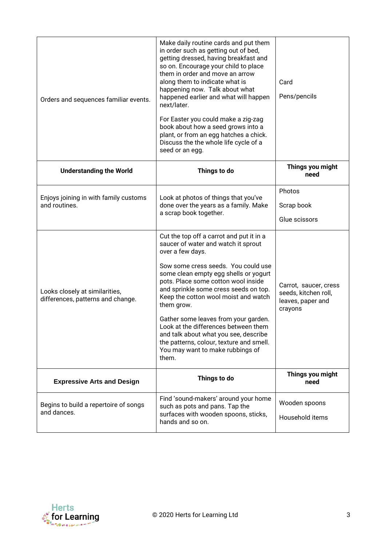| Orders and sequences familiar events.                               | Make daily routine cards and put them<br>in order such as getting out of bed,<br>getting dressed, having breakfast and<br>so on. Encourage your child to place<br>them in order and move an arrow<br>along them to indicate what is<br>happening now. Talk about what<br>happened earlier and what will happen<br>next/later.<br>For Easter you could make a zig-zag<br>book about how a seed grows into a<br>plant, or from an egg hatches a chick.<br>Discuss the the whole life cycle of a<br>seed or an egg.                            | Card<br>Pens/pencils                                                          |
|---------------------------------------------------------------------|---------------------------------------------------------------------------------------------------------------------------------------------------------------------------------------------------------------------------------------------------------------------------------------------------------------------------------------------------------------------------------------------------------------------------------------------------------------------------------------------------------------------------------------------|-------------------------------------------------------------------------------|
| <b>Understanding the World</b>                                      | Things to do                                                                                                                                                                                                                                                                                                                                                                                                                                                                                                                                | Things you might<br>need                                                      |
| Enjoys joining in with family customs<br>and routines.              | Look at photos of things that you've<br>done over the years as a family. Make<br>a scrap book together.                                                                                                                                                                                                                                                                                                                                                                                                                                     | Photos<br>Scrap book<br>Glue scissors                                         |
| Looks closely at similarities,<br>differences, patterns and change. | Cut the top off a carrot and put it in a<br>saucer of water and watch it sprout<br>over a few days.<br>Sow some cress seeds. You could use<br>some clean empty egg shells or yogurt<br>pots. Place some cotton wool inside<br>and sprinkle some cress seeds on top.<br>Keep the cotton wool moist and watch<br>them grow.<br>Gather some leaves from your garden.<br>Look at the differences between them<br>and talk about what you see, describe<br>the patterns, colour, texture and smell.<br>You may want to make rubbings of<br>them. | Carrot, saucer, cress<br>seeds, kitchen roll,<br>leaves, paper and<br>crayons |
| <b>Expressive Arts and Design</b>                                   | Things to do                                                                                                                                                                                                                                                                                                                                                                                                                                                                                                                                | Things you might<br>need                                                      |
| Begins to build a repertoire of songs<br>and dances.                | Find 'sound-makers' around your home<br>such as pots and pans. Tap the<br>surfaces with wooden spoons, sticks,<br>hands and so on.                                                                                                                                                                                                                                                                                                                                                                                                          | Wooden spoons<br>Household items                                              |